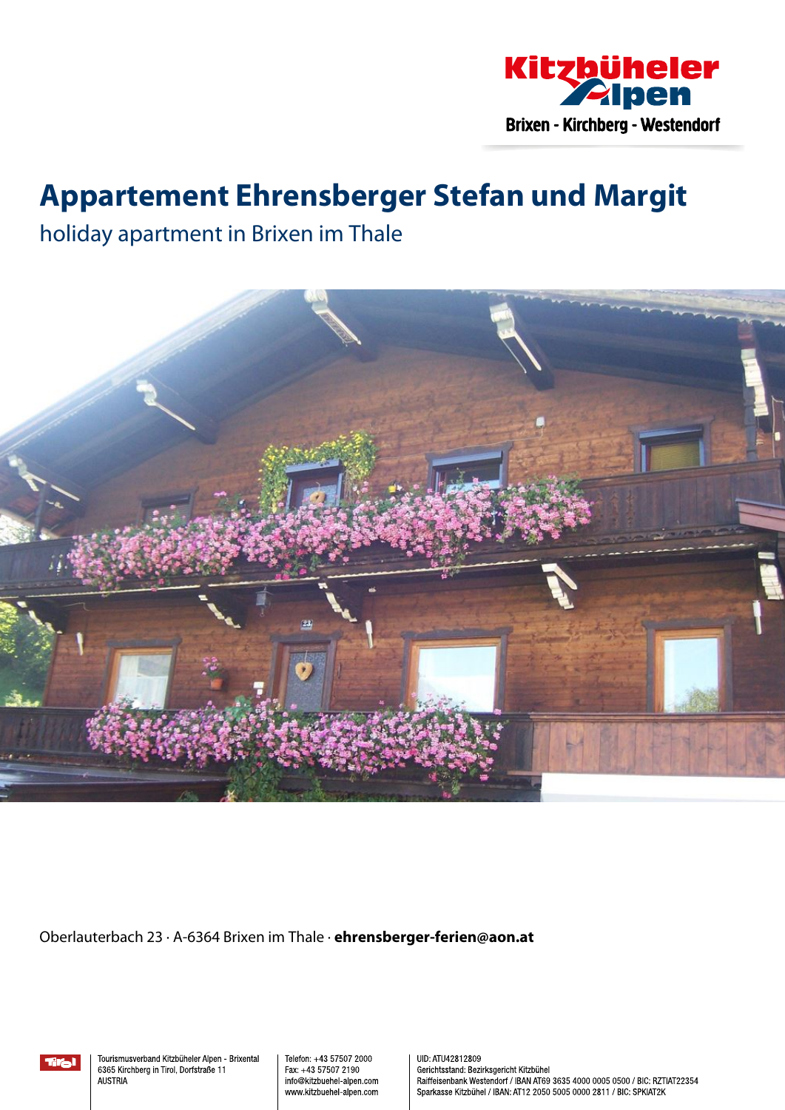

## **Appartement Ehrensberger Stefan und Margit**

holiday apartment in Brixen im Thale



Oberlauterbach 23 · A-6364 Brixen im Thale · **ehrensberger-ferien@aon.at**

Tourismusverband Kitzbüheler Alpen - Brixental 6365 Kirchberg in Tirol, Dorfstraße 11 **AUSTRIA** 

Telefon: +43 57507 2000 Fax: +43 57507 2190 info@kitzbuehel-alpen.com www.kitzbuehel-alpen.com UID: ATU42812809 Gerichtsstand: Bezirksgericht Kitzbühel Raiffeisenbank Westendorf / IBAN AT69 3635 4000 0005 0500 / BIC: RZTIAT22354 Sparkasse Kitzbühel / IBAN: AT12 2050 5005 0000 2811 / BIC: SPKIAT2K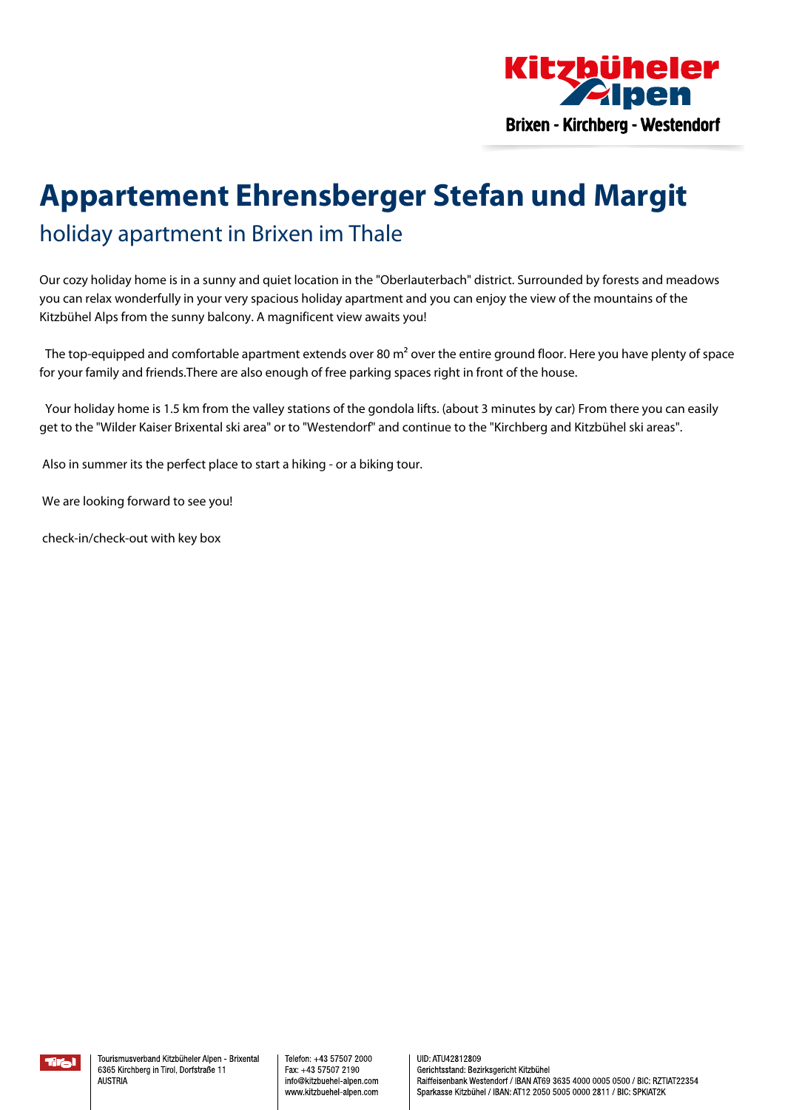

# **Appartement Ehrensberger Stefan und Margit** holiday apartment in Brixen im Thale

Our cozy holiday home is in <sup>a</sup> sunny and quiet location in the "Oberlauterbach" district. Surrounded by forests and meadows you can relax wonderfully in your very spacious holiday apartment and you can enjoy the view of the mountains of the Kitzbühel Alps from the sunny balcony. A magnificent view awaits you!

The top-equipped and comfortable apartment extends over 80 m<sup>2</sup> over the entire ground floor. Here you have plenty of space for your family and friends.There are also enough of free parking spaces right in front of the house.

Your holiday home is 1.5 km from the valley stations of the gondola lifts. (about 3 minutes by car) From there you can easily get to the "Wilder Kaiser Brixental ski area" or to "Westendorf" and continue to the "Kirchberg and Kitzbühel ski areas".

Also in summer its the perfect place to start <sup>a</sup> hiking - or <sup>a</sup> biking tour.

We are looking forward to see you!

check-in/check-out with key box

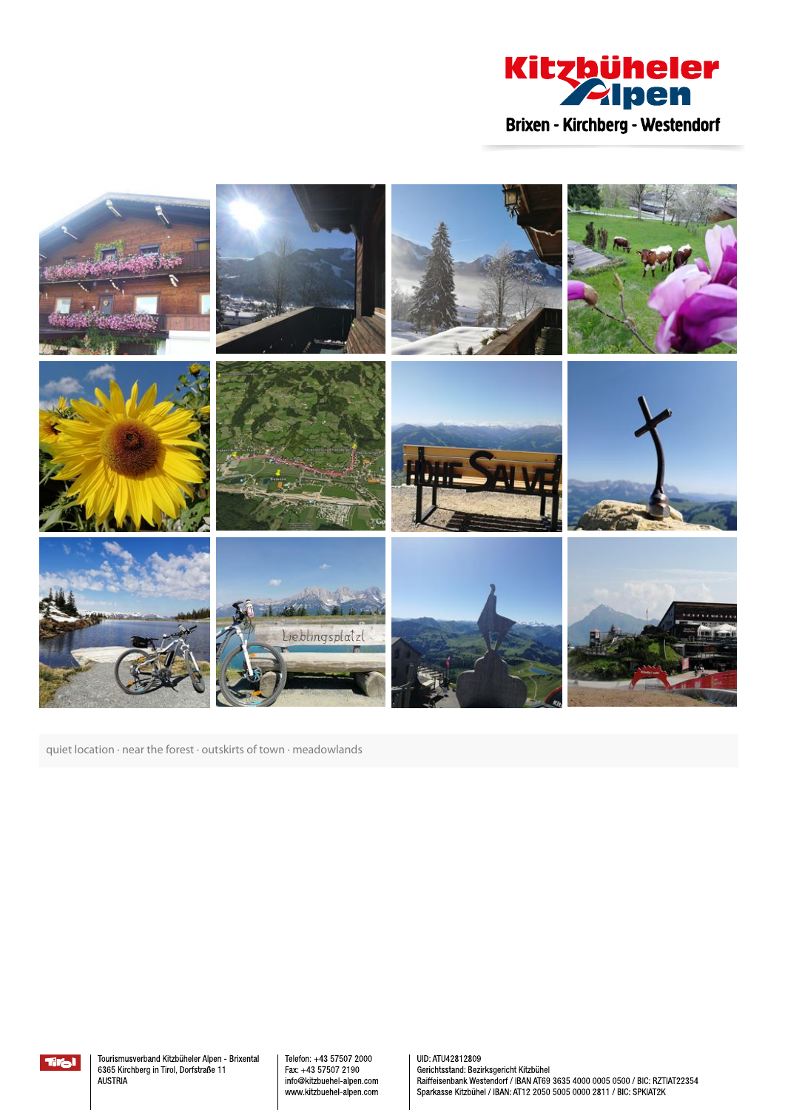



quiet location · near the forest · outskirts of town · meadowlands



Tourismusverband Kitzbüheler Alpen - Brixental 6365 Kirchberg in Tirol, Dorfstraße 11 **AUSTRIA** 

Telefon: +43 57507 2000 Fax: +43 57507 2190 info@kitzbuehel-alpen.com www.kitzbuehel-alpen.com

UID: ATU42812809 Gerichtsstand: Bezirksgericht Kitzbühel Raiffeisenbank Westendorf / IBAN AT69 3635 4000 0005 0500 / BIC: RZTIAT22354 Sparkasse Kitzbühel / IBAN: AT12 2050 5005 0000 2811 / BIC: SPKIAT2K